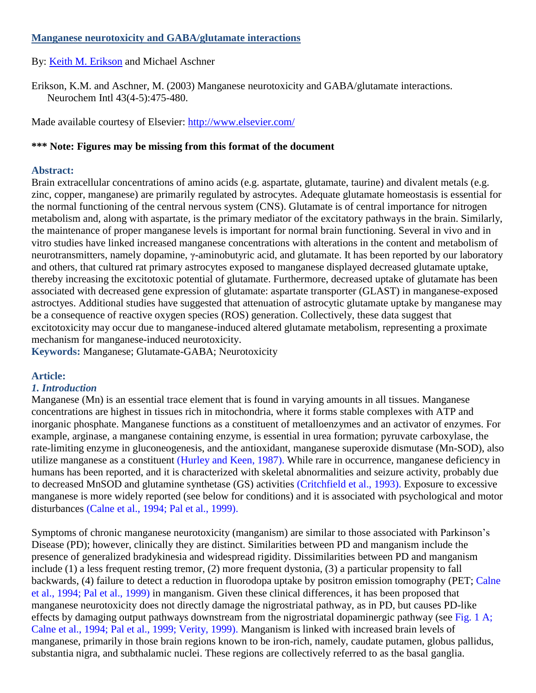## **Manganese neurotoxicity and GABA/glutamate interactions**

## By: [Keith M. Erikson](http://libres.uncg.edu/ir/uncg/clist.aspx?id=1296) and Michael Aschner

Erikson, K.M. and Aschner, M. (2003) Manganese neurotoxicity and GABA/glutamate interactions. Neurochem Intl 43(4-5):475-480.

Made available courtesy of Elsevier:<http://www.elsevier.com/>

## **\*\*\* Note: Figures may be missing from this format of the document**

## **Abstract:**

Brain extracellular concentrations of amino acids (e.g. aspartate, glutamate, taurine) and divalent metals (e.g. zinc, copper, manganese) are primarily regulated by astrocytes. Adequate glutamate homeostasis is essential for the normal functioning of the central nervous system (CNS). Glutamate is of central importance for nitrogen metabolism and, along with aspartate, is the primary mediator of the excitatory pathways in the brain. Similarly, the maintenance of proper manganese levels is important for normal brain functioning. Several in vivo and in vitro studies have linked increased manganese concentrations with alterations in the content and metabolism of neurotransmitters, namely dopamine, γ-aminobutyric acid, and glutamate. It has been reported by our laboratory and others, that cultured rat primary astrocytes exposed to manganese displayed decreased glutamate uptake, thereby increasing the excitotoxic potential of glutamate. Furthermore, decreased uptake of glutamate has been associated with decreased gene expression of glutamate: aspartate transporter (GLAST) in manganese-exposed astroctyes. Additional studies have suggested that attenuation of astrocytic glutamate uptake by manganese may be a consequence of reactive oxygen species (ROS) generation. Collectively, these data suggest that excitotoxicity may occur due to manganese-induced altered glutamate metabolism, representing a proximate mechanism for manganese-induced neurotoxicity.

**Keywords:** Manganese; Glutamate-GABA; Neurotoxicity

# **Article:**

## *1. Introduction*

Manganese (Mn) is an essential trace element that is found in varying amounts in all tissues. Manganese concentrations are highest in tissues rich in mitochondria, where it forms stable complexes with ATP and inorganic phosphate. Manganese functions as a constituent of metalloenzymes and an activator of enzymes. For example, arginase, a manganese containing enzyme, is essential in urea formation; pyruvate carboxylase, the rate-limiting enzyme in gluconeogenesis, and the antioxidant, manganese superoxide dismutase (Mn-SOD), also utilize manganese as a constituent (Hurley and Keen, 1987). While rare in occurrence, manganese deficiency in humans has been reported, and it is characterized with skeletal abnormalities and seizure activity, probably due to decreased MnSOD and glutamine synthetase (GS) activities (Critchfield et al., 1993). Exposure to excessive manganese is more widely reported (see below for conditions) and it is associated with psychological and motor disturbances (Calne et al., 1994; Pal et al., 1999).

Symptoms of chronic manganese neurotoxicity (manganism) are similar to those associated with Parkinson's Disease (PD); however, clinically they are distinct. Similarities between PD and manganism include the presence of generalized bradykinesia and widespread rigidity. Dissimilarities between PD and manganism include (1) a less frequent resting tremor, (2) more frequent dystonia, (3) a particular propensity to fall backwards, (4) failure to detect a reduction in fluorodopa uptake by positron emission tomography (PET; Calne et al., 1994; Pal et al., 1999) in manganism. Given these clinical differences, it has been proposed that manganese neurotoxicity does not directly damage the nigrostriatal pathway, as in PD, but causes PD-like effects by damaging output pathways downstream from the nigrostriatal dopaminergic pathway (see Fig. 1 A; Calne et al., 1994; Pal et al., 1999; Verity, 1999). Manganism is linked with increased brain levels of manganese, primarily in those brain regions known to be iron-rich, namely, caudate putamen, globus pallidus, substantia nigra, and subthalamic nuclei. These regions are collectively referred to as the basal ganglia.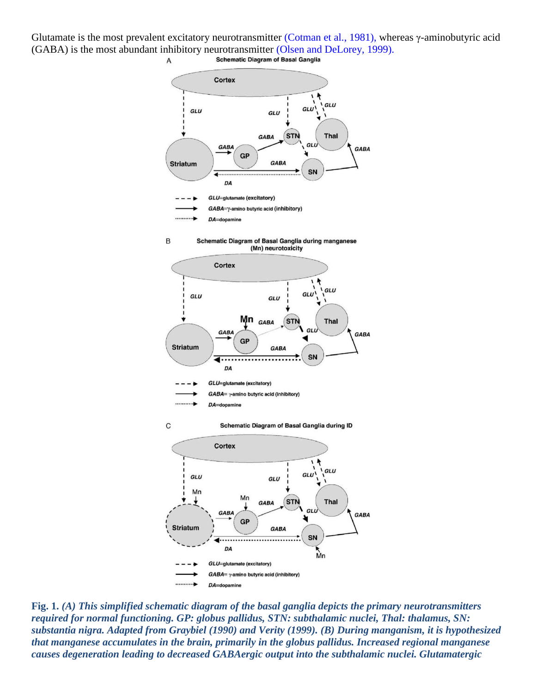Glutamate is the most prevalent excitatory neurotransmitter (Cotman et al., 1981), whereas γ-aminobutyric acid (GABA) is the most abundant inhibitory neurotransmitter (Olsen and DeLorey, 1999).



**Fig. 1.** *(A) This simplified schematic diagram of the basal ganglia depicts the primary neurotransmitters required for normal functioning. GP: globus pallidus, STN: subthalamic nuclei, Thal: thalamus, SN: substantia nigra. Adapted from Graybiel (1990) and Verity (1999). (B) During manganism, it is hypothesized that manganese accumulates in the brain, primarily in the globus pallidus. Increased regional manganese causes degeneration leading to decreased GABAergic output into the subthalamic nuclei. Glutamatergic*

DA=dopamine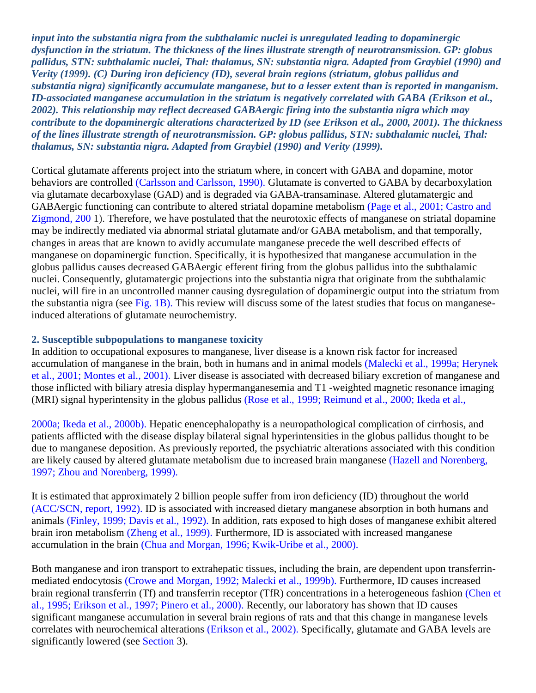*input into the substantia nigra from the subthalamic nuclei is unregulated leading to dopaminergic dysfunction in the striatum. The thickness of the lines illustrate strength of neurotransmission. GP: globus pallidus, STN: subthalamic nuclei, Thal: thalamus, SN: substantia nigra. Adapted from Graybiel (1990) and Verity (1999). (C) During iron deficiency (ID), several brain regions (striatum, globus pallidus and substantia nigra) significantly accumulate manganese, but to a lesser extent than is reported in manganism. ID-associated manganese accumulation in the striatum is negatively correlated with GABA (Erikson et al., 2002). This relationship may reflect decreased GABAergic firing into the substantia nigra which may contribute to the dopaminergic alterations characterized by ID (see Erikson et al., 2000, 2001). The thickness of the lines illustrate strength of neurotransmission. GP: globus pallidus, STN: subthalamic nuclei, Thal: thalamus, SN: substantia nigra. Adapted from Graybiel (1990) and Verity (1999).*

Cortical glutamate afferents project into the striatum where, in concert with GABA and dopamine, motor behaviors are controlled (Carlsson and Carlsson, 1990). Glutamate is converted to GABA by decarboxylation via glutamate decarboxylase (GAD) and is degraded via GABA-transaminase. Altered glutamatergic and GABAergic functioning can contribute to altered striatal dopamine metabolism (Page et al., 2001; Castro and Zigmond, 200 1). Therefore, we have postulated that the neurotoxic effects of manganese on striatal dopamine may be indirectly mediated via abnormal striatal glutamate and/or GABA metabolism, and that temporally, changes in areas that are known to avidly accumulate manganese precede the well described effects of manganese on dopaminergic function. Specifically, it is hypothesized that manganese accumulation in the globus pallidus causes decreased GABAergic efferent firing from the globus pallidus into the subthalamic nuclei. Consequently, glutamatergic projections into the substantia nigra that originate from the subthalamic nuclei, will fire in an uncontrolled manner causing dysregulation of dopaminergic output into the striatum from the substantia nigra (see Fig. 1B). This review will discuss some of the latest studies that focus on manganeseinduced alterations of glutamate neurochemistry.

#### **2. Susceptible subpopulations to manganese toxicity**

In addition to occupational exposures to manganese, liver disease is a known risk factor for increased accumulation of manganese in the brain, both in humans and in animal models (Malecki et al., 1999a; Herynek et al., 2001; Montes et al., 2001). Liver disease is associated with decreased biliary excretion of manganese and those inflicted with biliary atresia display hypermanganesemia and T1 -weighted magnetic resonance imaging (MRI) signal hyperintensity in the globus pallidus (Rose et al., 1999; Reimund et al., 2000; Ikeda et al.,

2000a; Ikeda et al., 2000b). Hepatic enencephalopathy is a neuropathological complication of cirrhosis, and patients afflicted with the disease display bilateral signal hyperintensities in the globus pallidus thought to be due to manganese deposition. As previously reported, the psychiatric alterations associated with this condition are likely caused by altered glutamate metabolism due to increased brain manganese (Hazell and Norenberg, 1997; Zhou and Norenberg, 1999).

It is estimated that approximately 2 billion people suffer from iron deficiency (ID) throughout the world (ACC/SCN, report, 1992). ID is associated with increased dietary manganese absorption in both humans and animals (Finley, 1999; Davis et al., 1992). In addition, rats exposed to high doses of manganese exhibit altered brain iron metabolism (Zheng et al., 1999). Furthermore, ID is associated with increased manganese accumulation in the brain (Chua and Morgan, 1996; Kwik-Uribe et al., 2000).

Both manganese and iron transport to extrahepatic tissues, including the brain, are dependent upon transferrinmediated endocytosis (Crowe and Morgan, 1992; Malecki et al., 1999b). Furthermore, ID causes increased brain regional transferrin (Tf) and transferrin receptor (TfR) concentrations in a heterogeneous fashion (Chen et al., 1995; Erikson et al., 1997; Pinero et al., 2000). Recently, our laboratory has shown that ID causes significant manganese accumulation in several brain regions of rats and that this change in manganese levels correlates with neurochemical alterations (Erikson et al., 2002). Specifically, glutamate and GABA levels are significantly lowered (see Section 3).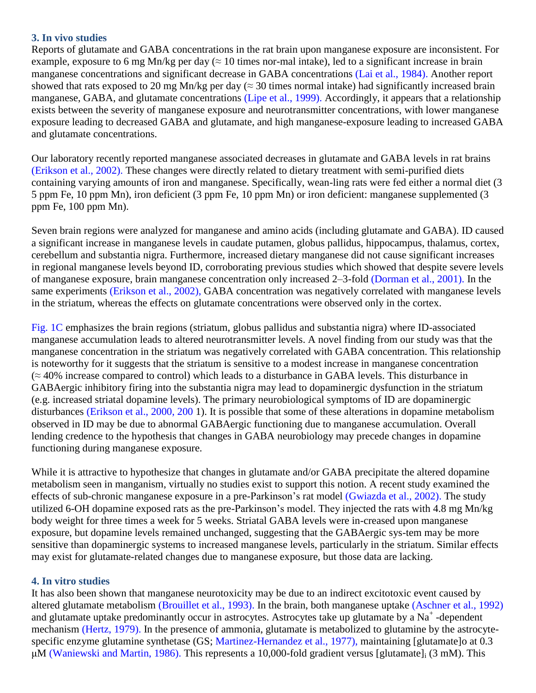# **3. In vivo studies**

Reports of glutamate and GABA concentrations in the rat brain upon manganese exposure are inconsistent. For example, exposure to 6 mg Mn/kg per day ( $\approx$  10 times nor-mal intake), led to a significant increase in brain manganese concentrations and significant decrease in GABA concentrations (Lai et al., 1984). Another report showed that rats exposed to 20 mg Mn/kg per day ( $\approx$  30 times normal intake) had significantly increased brain manganese, GABA, and glutamate concentrations (Lipe et al., 1999). Accordingly, it appears that a relationship exists between the severity of manganese exposure and neurotransmitter concentrations, with lower manganese exposure leading to decreased GABA and glutamate, and high manganese-exposure leading to increased GABA and glutamate concentrations.

Our laboratory recently reported manganese associated decreases in glutamate and GABA levels in rat brains (Erikson et al., 2002). These changes were directly related to dietary treatment with semi-purified diets containing varying amounts of iron and manganese. Specifically, wean-ling rats were fed either a normal diet (3 5 ppm Fe, 10 ppm Mn), iron deficient (3 ppm Fe, 10 ppm Mn) or iron deficient: manganese supplemented (3 ppm Fe, 100 ppm Mn).

Seven brain regions were analyzed for manganese and amino acids (including glutamate and GABA). ID caused a significant increase in manganese levels in caudate putamen, globus pallidus, hippocampus, thalamus, cortex, cerebellum and substantia nigra. Furthermore, increased dietary manganese did not cause significant increases in regional manganese levels beyond ID, corroborating previous studies which showed that despite severe levels of manganese exposure, brain manganese concentration only increased 2–3-fold (Dorman et al., 2001). In the same experiments (Erikson et al., 2002), GABA concentration was negatively correlated with manganese levels in the striatum, whereas the effects on glutamate concentrations were observed only in the cortex.

Fig. 1C emphasizes the brain regions (striatum, globus pallidus and substantia nigra) where ID-associated manganese accumulation leads to altered neurotransmitter levels. A novel finding from our study was that the manganese concentration in the striatum was negatively correlated with GABA concentration. This relationship is noteworthy for it suggests that the striatum is sensitive to a modest increase in manganese concentration (≈ 40% increase compared to control) which leads to a disturbance in GABA levels. This disturbance in GABAergic inhibitory firing into the substantia nigra may lead to dopaminergic dysfunction in the striatum (e.g. increased striatal dopamine levels). The primary neurobiological symptoms of ID are dopaminergic disturbances (Erikson et al., 2000, 200 1). It is possible that some of these alterations in dopamine metabolism observed in ID may be due to abnormal GABAergic functioning due to manganese accumulation. Overall lending credence to the hypothesis that changes in GABA neurobiology may precede changes in dopamine functioning during manganese exposure.

While it is attractive to hypothesize that changes in glutamate and/or GABA precipitate the altered dopamine metabolism seen in manganism, virtually no studies exist to support this notion. A recent study examined the effects of sub-chronic manganese exposure in a pre-Parkinson's rat model (Gwiazda et al., 2002). The study utilized 6-OH dopamine exposed rats as the pre-Parkinson's model. They injected the rats with 4.8 mg Mn/kg body weight for three times a week for 5 weeks. Striatal GABA levels were in-creased upon manganese exposure, but dopamine levels remained unchanged, suggesting that the GABAergic sys-tem may be more sensitive than dopaminergic systems to increased manganese levels, particularly in the striatum. Similar effects may exist for glutamate-related changes due to manganese exposure, but those data are lacking.

# **4. In vitro studies**

It has also been shown that manganese neurotoxicity may be due to an indirect excitotoxic event caused by altered glutamate metabolism (Brouillet et al., 1993). In the brain, both manganese uptake (Aschner et al., 1992) and glutamate uptake predominantly occur in astrocytes. Astrocytes take up glutamate by a Na<sup>+</sup>-dependent mechanism (Hertz, 1979). In the presence of ammonia, glutamate is metabolized to glutamine by the astrocytespecific enzyme glutamine synthetase (GS; Martinez-Hernandez et al., 1977), maintaining [glutamate]o at 0.3 μM (Waniewski and Martin, 1986). This represents a 10,000-fold gradient versus [glutamate]<sup>i</sup> (3 mM). This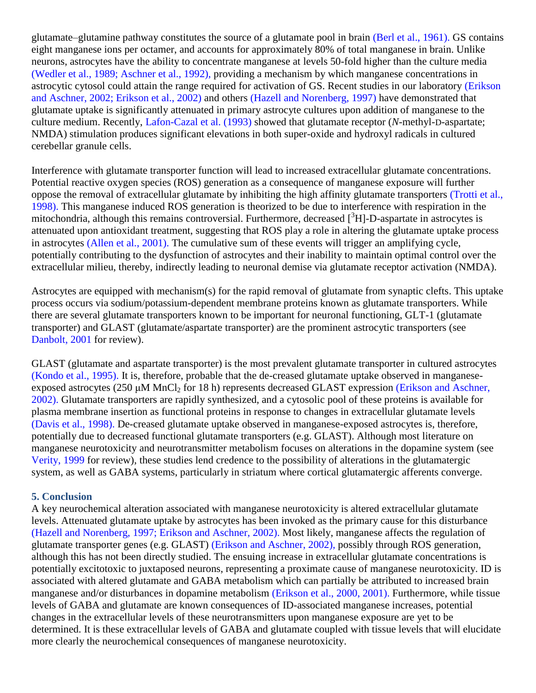glutamate–glutamine pathway constitutes the source of a glutamate pool in brain (Berl et al., 1961). GS contains eight manganese ions per octamer, and accounts for approximately 80% of total manganese in brain. Unlike neurons, astrocytes have the ability to concentrate manganese at levels 50-fold higher than the culture media (Wedler et al., 1989; Aschner et al., 1992), providing a mechanism by which manganese concentrations in astrocytic cytosol could attain the range required for activation of GS. Recent studies in our laboratory (Erikson and Aschner, 2002; Erikson et al., 2002) and others (Hazell and Norenberg, 1997) have demonstrated that glutamate uptake is significantly attenuated in primary astrocyte cultures upon addition of manganese to the culture medium. Recently, Lafon-Cazal et al. (1993) showed that glutamate receptor (*N*-methyl-D-aspartate; NMDA) stimulation produces significant elevations in both super-oxide and hydroxyl radicals in cultured cerebellar granule cells.

Interference with glutamate transporter function will lead to increased extracellular glutamate concentrations. Potential reactive oxygen species (ROS) generation as a consequence of manganese exposure will further oppose the removal of extracellular glutamate by inhibiting the high affinity glutamate transporters (Trotti et al., 1998). This manganese induced ROS generation is theorized to be due to interference with respiration in the mitochondria, although this remains controversial. Furthermore, decreased [<sup>3</sup>H]-D-aspartate in astrocytes is attenuated upon antioxidant treatment, suggesting that ROS play a role in altering the glutamate uptake process in astrocytes (Allen et al., 2001). The cumulative sum of these events will trigger an amplifying cycle, potentially contributing to the dysfunction of astrocytes and their inability to maintain optimal control over the extracellular milieu, thereby, indirectly leading to neuronal demise via glutamate receptor activation (NMDA).

Astrocytes are equipped with mechanism(s) for the rapid removal of glutamate from synaptic clefts. This uptake process occurs via sodium/potassium-dependent membrane proteins known as glutamate transporters. While there are several glutamate transporters known to be important for neuronal functioning, GLT-1 (glutamate transporter) and GLAST (glutamate/aspartate transporter) are the prominent astrocytic transporters (see Danbolt, 2001 for review).

GLAST (glutamate and aspartate transporter) is the most prevalent glutamate transporter in cultured astrocytes (Kondo et al., 1995). It is, therefore, probable that the de-creased glutamate uptake observed in manganeseexposed astrocytes (250 μM MnCl<sub>2</sub> for 18 h) represents decreased GLAST expression (Erikson and Aschner, 2002). Glutamate transporters are rapidly synthesized, and a cytosolic pool of these proteins is available for plasma membrane insertion as functional proteins in response to changes in extracellular glutamate levels (Davis et al., 1998). De-creased glutamate uptake observed in manganese-exposed astrocytes is, therefore, potentially due to decreased functional glutamate transporters (e.g. GLAST). Although most literature on manganese neurotoxicity and neurotransmitter metabolism focuses on alterations in the dopamine system (see Verity, 1999 for review), these studies lend credence to the possibility of alterations in the glutamatergic system, as well as GABA systems, particularly in striatum where cortical glutamatergic afferents converge.

## **5. Conclusion**

A key neurochemical alteration associated with manganese neurotoxicity is altered extracellular glutamate levels. Attenuated glutamate uptake by astrocytes has been invoked as the primary cause for this disturbance (Hazell and Norenberg, 1997; Erikson and Aschner, 2002). Most likely, manganese affects the regulation of glutamate transporter genes (e.g. GLAST) (Erikson and Aschner, 2002), possibly through ROS generation, although this has not been directly studied. The ensuing increase in extracellular glutamate concentrations is potentially excitotoxic to juxtaposed neurons, representing a proximate cause of manganese neurotoxicity. ID is associated with altered glutamate and GABA metabolism which can partially be attributed to increased brain manganese and/or disturbances in dopamine metabolism (Erikson et al., 2000, 2001). Furthermore, while tissue levels of GABA and glutamate are known consequences of ID-associated manganese increases, potential changes in the extracellular levels of these neurotransmitters upon manganese exposure are yet to be determined. It is these extracellular levels of GABA and glutamate coupled with tissue levels that will elucidate more clearly the neurochemical consequences of manganese neurotoxicity.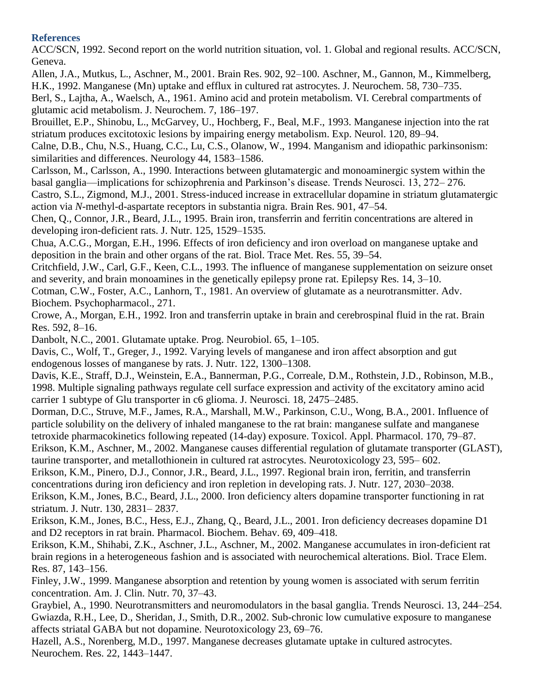# **References**

ACC/SCN, 1992. Second report on the world nutrition situation, vol. 1. Global and regional results. ACC/SCN, Geneva.

Allen, J.A., Mutkus, L., Aschner, M., 2001. Brain Res. 902, 92–100. Aschner, M., Gannon, M., Kimmelberg, H.K., 1992. Manganese (Mn) uptake and efflux in cultured rat astrocytes. J. Neurochem. 58, 730–735. Berl, S., Lajtha, A., Waelsch, A., 1961. Amino acid and protein metabolism. VI. Cerebral compartments of glutamic acid metabolism. J. Neurochem. 7, 186–197.

Brouillet, E.P., Shinobu, L., McGarvey, U., Hochberg, F., Beal, M.F., 1993. Manganese injection into the rat striatum produces excitotoxic lesions by impairing energy metabolism. Exp. Neurol. 120, 89–94.

Calne, D.B., Chu, N.S., Huang, C.C., Lu, C.S., Olanow, W., 1994. Manganism and idiopathic parkinsonism: similarities and differences. Neurology 44, 1583–1586.

Carlsson, M., Carlsson, A., 1990. Interactions between glutamatergic and monoaminergic system within the basal ganglia—implications for schizophrenia and Parkinson's disease. Trends Neurosci. 13, 272– 276.

Castro, S.L., Zigmond, M.J., 2001. Stress-induced increase in extracellular dopamine in striatum glutamatergic action via *N*-methyl-d-aspartate receptors in substantia nigra. Brain Res. 901, 47–54.

Chen, Q., Connor, J.R., Beard, J.L., 1995. Brain iron, transferrin and ferritin concentrations are altered in developing iron-deficient rats. J. Nutr. 125, 1529–1535.

Chua, A.C.G., Morgan, E.H., 1996. Effects of iron deficiency and iron overload on manganese uptake and deposition in the brain and other organs of the rat. Biol. Trace Met. Res. 55, 39–54.

Critchfield, J.W., Carl, G.F., Keen, C.L., 1993. The influence of manganese supplementation on seizure onset and severity, and brain monoamines in the genetically epilepsy prone rat. Epilepsy Res. 14, 3–10.

Cotman, C.W., Foster, A.C., Lanhorn, T., 1981. An overview of glutamate as a neurotransmitter. Adv. Biochem. Psychopharmacol., 271.

Crowe, A., Morgan, E.H., 1992. Iron and transferrin uptake in brain and cerebrospinal fluid in the rat. Brain Res. 592, 8–16.

Danbolt, N.C., 2001. Glutamate uptake. Prog. Neurobiol. 65, 1–105.

Davis, C., Wolf, T., Greger, J., 1992. Varying levels of manganese and iron affect absorption and gut endogenous losses of manganese by rats. J. Nutr. 122, 1300–1308.

Davis, K.E., Straff, D.J., Weinstein, E.A., Bannerman, P.G., Correale, D.M., Rothstein, J.D., Robinson, M.B., 1998. Multiple signaling pathways regulate cell surface expression and activity of the excitatory amino acid carrier 1 subtype of Glu transporter in c6 glioma. J. Neurosci. 18, 2475–2485.

Dorman, D.C., Struve, M.F., James, R.A., Marshall, M.W., Parkinson, C.U., Wong, B.A., 2001. Influence of particle solubility on the delivery of inhaled manganese to the rat brain: manganese sulfate and manganese tetroxide pharmacokinetics following repeated (14-day) exposure. Toxicol. Appl. Pharmacol. 170, 79–87. Erikson, K.M., Aschner, M., 2002. Manganese causes differential regulation of glutamate transporter (GLAST), taurine transporter, and metallothionein in cultured rat astrocytes. Neurotoxicology 23, 595– 602.

Erikson, K.M., Pinero, D.J., Connor, J.R., Beard, J.L., 1997. Regional brain iron, ferritin, and transferrin concentrations during iron deficiency and iron repletion in developing rats. J. Nutr. 127, 2030–2038.

Erikson, K.M., Jones, B.C., Beard, J.L., 2000. Iron deficiency alters dopamine transporter functioning in rat striatum. J. Nutr. 130, 2831– 2837.

Erikson, K.M., Jones, B.C., Hess, E.J., Zhang, Q., Beard, J.L., 2001. Iron deficiency decreases dopamine D1 and D2 receptors in rat brain. Pharmacol. Biochem. Behav. 69, 409–418.

Erikson, K.M., Shihabi, Z.K., Aschner, J.L., Aschner, M., 2002. Manganese accumulates in iron-deficient rat brain regions in a heterogeneous fashion and is associated with neurochemical alterations. Biol. Trace Elem. Res. 87, 143–156.

Finley, J.W., 1999. Manganese absorption and retention by young women is associated with serum ferritin concentration. Am. J. Clin. Nutr. 70, 37–43.

Graybiel, A., 1990. Neurotransmitters and neuromodulators in the basal ganglia. Trends Neurosci. 13, 244–254. Gwiazda, R.H., Lee, D., Sheridan, J., Smith, D.R., 2002. Sub-chronic low cumulative exposure to manganese affects striatal GABA but not dopamine. Neurotoxicology 23, 69–76.

Hazell, A.S., Norenberg, M.D., 1997. Manganese decreases glutamate uptake in cultured astrocytes. Neurochem. Res. 22, 1443–1447.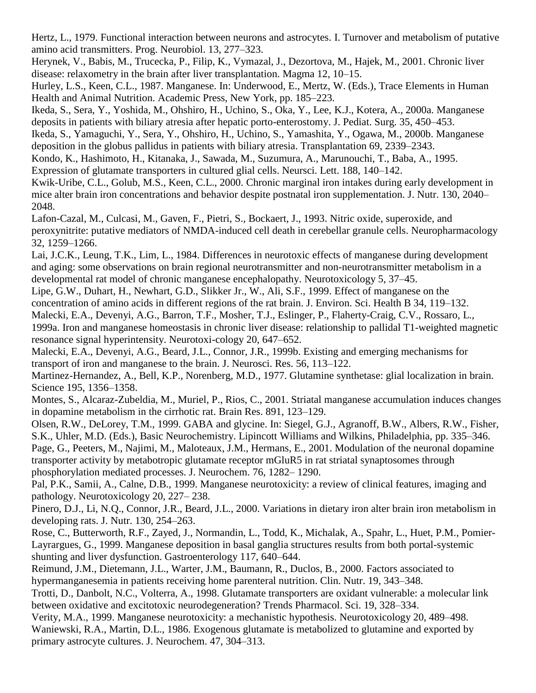Hertz, L., 1979. Functional interaction between neurons and astrocytes. I. Turnover and metabolism of putative amino acid transmitters. Prog. Neurobiol. 13, 277–323.

Herynek, V., Babis, M., Trucecka, P., Filip, K., Vymazal, J., Dezortova, M., Hajek, M., 2001. Chronic liver disease: relaxometry in the brain after liver transplantation. Magma 12, 10–15.

Hurley, L.S., Keen, C.L., 1987. Manganese. In: Underwood, E., Mertz, W. (Eds.), Trace Elements in Human Health and Animal Nutrition. Academic Press, New York, pp. 185–223.

Ikeda, S., Sera, Y., Yoshida, M., Ohshiro, H., Uchino, S., Oka, Y., Lee, K.J., Kotera, A., 2000a. Manganese deposits in patients with biliary atresia after hepatic porto-enterostomy. J. Pediat. Surg. 35, 450–453.

Ikeda, S., Yamaguchi, Y., Sera, Y., Ohshiro, H., Uchino, S., Yamashita, Y., Ogawa, M., 2000b. Manganese deposition in the globus pallidus in patients with biliary atresia. Transplantation 69, 2339–2343.

Kondo, K., Hashimoto, H., Kitanaka, J., Sawada, M., Suzumura, A., Marunouchi, T., Baba, A., 1995.

Expression of glutamate transporters in cultured glial cells. Neursci. Lett. 188, 140–142.

Kwik-Uribe, C.L., Golub, M.S., Keen, C.L., 2000. Chronic marginal iron intakes during early development in mice alter brain iron concentrations and behavior despite postnatal iron supplementation. J. Nutr. 130, 2040– 2048.

Lafon-Cazal, M., Culcasi, M., Gaven, F., Pietri, S., Bockaert, J., 1993. Nitric oxide, superoxide, and peroxynitrite: putative mediators of NMDA-induced cell death in cerebellar granule cells. Neuropharmacology 32, 1259–1266.

Lai, J.C.K., Leung, T.K., Lim, L., 1984. Differences in neurotoxic effects of manganese during development and aging: some observations on brain regional neurotransmitter and non-neurotransmitter metabolism in a developmental rat model of chronic manganese encephalopathy. Neurotoxicology 5, 37–45.

Lipe, G.W., Duhart, H., Newhart, G.D., Slikker Jr., W., Ali, S.F., 1999. Effect of manganese on the concentration of amino acids in different regions of the rat brain. J. Environ. Sci. Health B 34, 119–132. Malecki, E.A., Devenyi, A.G., Barron, T.F., Mosher, T.J., Eslinger, P., Flaherty-Craig, C.V., Rossaro, L.,

1999a. Iron and manganese homeostasis in chronic liver disease: relationship to pallidal T1-weighted magnetic resonance signal hyperintensity. Neurotoxi-cology 20, 647–652.

Malecki, E.A., Devenyi, A.G., Beard, J.L., Connor, J.R., 1999b. Existing and emerging mechanisms for transport of iron and manganese to the brain. J. Neurosci. Res. 56, 113–122.

Martinez-Hernandez, A., Bell, K.P., Norenberg, M.D., 1977. Glutamine synthetase: glial localization in brain. Science 195, 1356–1358.

Montes, S., Alcaraz-Zubeldia, M., Muriel, P., Rios, C., 2001. Striatal manganese accumulation induces changes in dopamine metabolism in the cirrhotic rat. Brain Res. 891, 123–129.

Olsen, R.W., DeLorey, T.M., 1999. GABA and glycine. In: Siegel, G.J., Agranoff, B.W., Albers, R.W., Fisher, S.K., Uhler, M.D. (Eds.), Basic Neurochemistry. Lipincott Williams and Wilkins, Philadelphia, pp. 335–346. Page, G., Peeters, M., Najimi, M., Maloteaux, J.M., Hermans, E., 2001. Modulation of the neuronal dopamine transporter activity by metabotropic glutamate receptor mGluR5 in rat striatal synaptosomes through phosphorylation mediated processes. J. Neurochem. 76, 1282– 1290.

Pal, P.K., Samii, A., Calne, D.B., 1999. Manganese neurotoxicity: a review of clinical features, imaging and pathology. Neurotoxicology 20, 227– 238.

Pinero, D.J., Li, N.Q., Connor, J.R., Beard, J.L., 2000. Variations in dietary iron alter brain iron metabolism in developing rats. J. Nutr. 130, 254–263.

Rose, C., Butterworth, R.F., Zayed, J., Normandin, L., Todd, K., Michalak, A., Spahr, L., Huet, P.M., Pomier-Layrargues, G., 1999. Manganese deposition in basal ganglia structures results from both portal-systemic shunting and liver dysfunction. Gastroenterology 117, 640–644.

Reimund, J.M., Dietemann, J.L., Warter, J.M., Baumann, R., Duclos, B., 2000. Factors associated to hypermanganesemia in patients receiving home parenteral nutrition. Clin. Nutr. 19, 343–348.

Trotti, D., Danbolt, N.C., Volterra, A., 1998. Glutamate transporters are oxidant vulnerable: a molecular link between oxidative and excitotoxic neurodegeneration? Trends Pharmacol. Sci. 19, 328–334.

Verity, M.A., 1999. Manganese neurotoxicity: a mechanistic hypothesis. Neurotoxicology 20, 489–498. Waniewski, R.A., Martin, D.L., 1986. Exogenous glutamate is metabolized to glutamine and exported by primary astrocyte cultures. J. Neurochem. 47, 304–313.